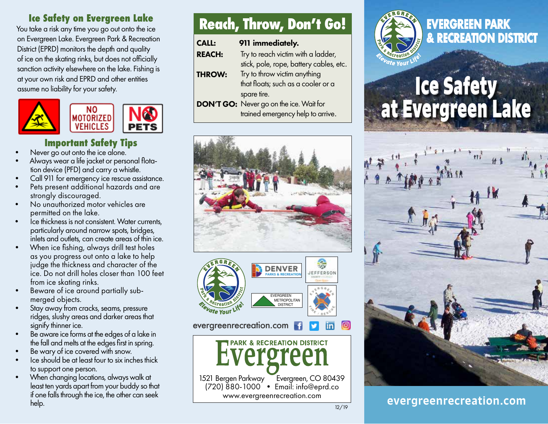#### **Ice Safety on Evergreen Lake**

You take a risk any time you go out onto the ice on Evergreen Lake. Evergreen Park & Recreation District (EPRD) monitors the depth and quality of ice on the skating rinks, but does not officially sanction activity elsewhere on the lake. Fishing is at your own risk and EPRD and other entities assume no liability for your safety.



# **Important Safety Tips**<br>Never go out onto the ice alone.

- 
- Always wear a life jacket or personal flotation device (PFD) and carry a whistle.
- Call 911 for emergency ice rescue assistance.
- Pets present additional hazards and are strongly discouraged.
- No unauthorized motor vehicles are permitted on the lake.
- Ice thickness is not consistent. Water currents, particularly around narrow spots, bridges, inlets and outlets, can create areas of thin ice.
- When ice fishing, always drill test holes as you progress out onto a lake to help judge the thickness and character of the ice. Do not drill holes closer than 100 feet from ice skating rinks.
- Beware of ice around partially submerged objects.
- Stay away from cracks, seams, pressure ridges, slushy areas and darker areas that signify thinner ice.
- Be aware ice forms at the edges of a lake in the fall and melts at the edges first in spring.
- Be wary of ice covered with snow.
- Ice should be at least four to six inches thick to support one person.
- When changing locations, always walk at least ten yards apart from your buddy so that if one falls through the ice, the other can seek help.

# **Reach, Throw, Don't Go!**

| <b>CALL:</b>  | 911 immediately.                               |
|---------------|------------------------------------------------|
| <b>REACH:</b> | Try to reach victim with a ladder,             |
|               | stick, pole, rope, battery cables, etc.        |
| <b>THROW:</b> | Try to throw victim anything                   |
|               | that floats; such as a cooler or a             |
|               | spare tire.                                    |
|               | <b>DON'T GO:</b> Never go on the ice. Wait for |

trained emergency help to arrive.





#### evergreenrecreation.com





# **EVERGREEN PARK & RECREATION DISTRICT**

# **Ice Safety at Evergreen Lake**



## evergreenrecreation.com